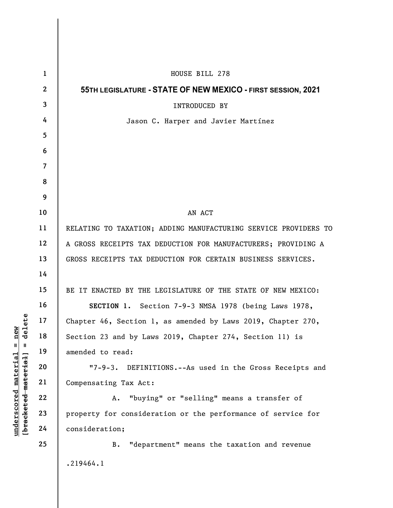|                                                                                                     | $\mathbf{1}$    | HOUSE BILL 278                                                   |
|-----------------------------------------------------------------------------------------------------|-----------------|------------------------------------------------------------------|
|                                                                                                     | $\mathbf{2}$    | 55TH LEGISLATURE - STATE OF NEW MEXICO - FIRST SESSION, 2021     |
| $=$ $\frac{\text{new}}{\text{4e} \cdot \text{1}}$<br>$underscored$ material<br>[bracketed-material] | $\mathbf{3}$    | INTRODUCED BY                                                    |
|                                                                                                     | 4               | Jason C. Harper and Javier Martínez                              |
|                                                                                                     | $5\phantom{.0}$ |                                                                  |
|                                                                                                     | 6               |                                                                  |
|                                                                                                     | $\overline{7}$  |                                                                  |
|                                                                                                     | 8               |                                                                  |
|                                                                                                     | 9               |                                                                  |
|                                                                                                     | 10              | AN ACT                                                           |
|                                                                                                     | 11              | RELATING TO TAXATION; ADDING MANUFACTURING SERVICE PROVIDERS TO  |
|                                                                                                     | 12              | A GROSS RECEIPTS TAX DEDUCTION FOR MANUFACTURERS; PROVIDING A    |
|                                                                                                     | 13              | GROSS RECEIPTS TAX DEDUCTION FOR CERTAIN BUSINESS SERVICES.      |
|                                                                                                     | 14              |                                                                  |
|                                                                                                     | 15              | BE IT ENACTED BY THE LEGISLATURE OF THE STATE OF NEW MEXICO:     |
|                                                                                                     | 16              | SECTION 1. Section 7-9-3 NMSA 1978 (being Laws 1978,             |
|                                                                                                     | 17              | Chapter 46, Section 1, as amended by Laws 2019, Chapter 270,     |
|                                                                                                     | 18              | Section 23 and by Laws 2019, Chapter 274, Section 11) is         |
|                                                                                                     | 19              | amended to read:                                                 |
|                                                                                                     | 20              | $17 - 9 - 3.$<br>DEFINITIONS.--As used in the Gross Receipts and |
|                                                                                                     | 21              | Compensating Tax Act:                                            |
|                                                                                                     | 22              | "buying" or "selling" means a transfer of<br>A.                  |
|                                                                                                     | 23              | property for consideration or the performance of service for     |
|                                                                                                     | 24              | consideration;                                                   |
|                                                                                                     | 25              | "department" means the taxation and revenue<br>в.                |
|                                                                                                     |                 | .219464.1                                                        |
|                                                                                                     |                 |                                                                  |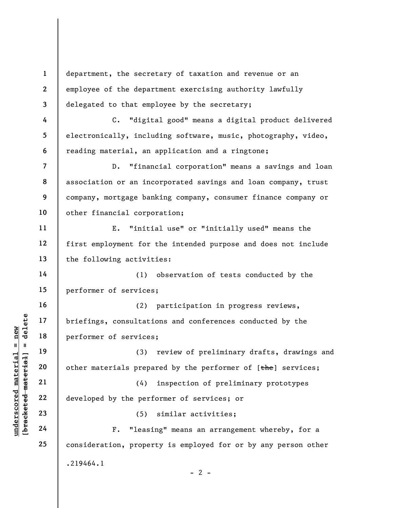underscored material = new [bracketed material] = delete 1 2 3 4 5 6 7 8 9 10 11 12 13 14 15 16 17 18 19 20 21 22 23 24 25 department, the secretary of taxation and revenue or an employee of the department exercising authority lawfully delegated to that employee by the secretary; C. "digital good" means a digital product delivered electronically, including software, music, photography, video, reading material, an application and a ringtone; D. "financial corporation" means a savings and loan association or an incorporated savings and loan company, trust company, mortgage banking company, consumer finance company or other financial corporation; E. "initial use" or "initially used" means the first employment for the intended purpose and does not include the following activities: (1) observation of tests conducted by the performer of services; (2) participation in progress reviews, briefings, consultations and conferences conducted by the performer of services; (3) review of preliminary drafts, drawings and other materials prepared by the performer of [the] services; (4) inspection of preliminary prototypes developed by the performer of services; or (5) similar activities; F. "leasing" means an arrangement whereby, for a consideration, property is employed for or by any person other .219464.1  $- 2 -$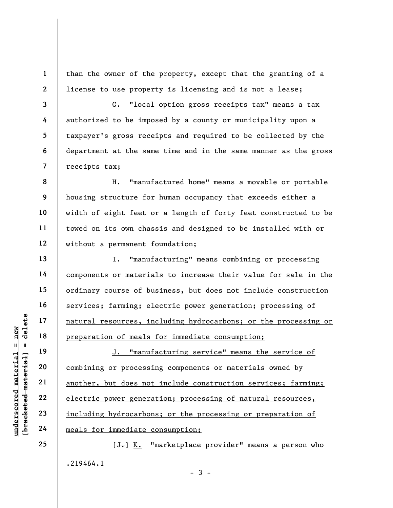1 2 than the owner of the property, except that the granting of a license to use property is licensing and is not a lease;

3 4 5 6 7 G. "local option gross receipts tax" means a tax authorized to be imposed by a county or municipality upon a taxpayer's gross receipts and required to be collected by the department at the same time and in the same manner as the gross receipts tax;

8 9 10 11 12 H. "manufactured home" means a movable or portable housing structure for human occupancy that exceeds either a width of eight feet or a length of forty feet constructed to be towed on its own chassis and designed to be installed with or without a permanent foundation;

I. "manufacturing" means combining or processing components or materials to increase their value for sale in the ordinary course of business, but does not include construction services; farming; electric power generation; processing of natural resources, including hydrocarbons; or the processing or preparation of meals for immediate consumption;

underscored material = new [bracketed material] = delete J. "manufacturing service" means the service of combining or processing components or materials owned by another, but does not include construction services; farming; electric power generation; processing of natural resources, including hydrocarbons; or the processing or preparation of meals for immediate consumption;

> $[\frac{1}{\sqrt{1}}]$  K. "marketplace provider" means a person who .219464.1  $-3 -$

13

14

15

16

17

18

19

20

21

22

23

24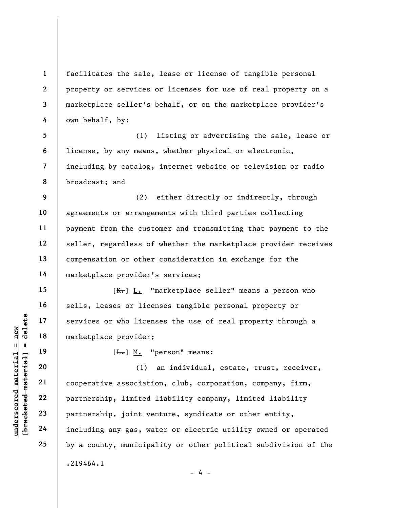1 2 3 4 facilitates the sale, lease or license of tangible personal property or services or licenses for use of real property on a marketplace seller's behalf, or on the marketplace provider's own behalf, by:

5 6 7 8 (1) listing or advertising the sale, lease or license, by any means, whether physical or electronic, including by catalog, internet website or television or radio broadcast; and

9 10 11 12 13 14 (2) either directly or indirectly, through agreements or arrangements with third parties collecting payment from the customer and transmitting that payment to the seller, regardless of whether the marketplace provider receives compensation or other consideration in exchange for the marketplace provider's services;

[ $K<sub>r</sub>$ ] L. "marketplace seller" means a person who sells, leases or licenses tangible personal property or services or who licenses the use of real property through a marketplace provider;

19 20

15

16

17

18

21

22

23

24

25

 $[\frac{L}{\cdot}, \frac{M}{\cdot}, \frac{M}{\cdot}]$  "person" means:

under 17<br>
= 18<br>
= 18<br>
= 19<br>
= 19<br>
= 19<br>
= 19<br>
= 19<br>
= 19<br>
= 19<br>
= 19<br>
= 19<br>
= 19<br>
= 19<br>
= 19<br>
= 19<br>
= 19<br>
= 19<br>
= 19<br>
= 19<br>
= 19<br>
= 19<br>
= 19<br>
= 19<br>
= 19<br>
= 19<br>
= 19<br>
= 19<br>
= 19<br>
= 19<br>
= 19<br>
= 19<br>
= 19<br>
= 19<br>
= 19<br>
= 19<br>
= (1) an individual, estate, trust, receiver, cooperative association, club, corporation, company, firm, partnership, limited liability company, limited liability partnership, joint venture, syndicate or other entity, including any gas, water or electric utility owned or operated by a county, municipality or other political subdivision of the .219464.1

 $- 4 -$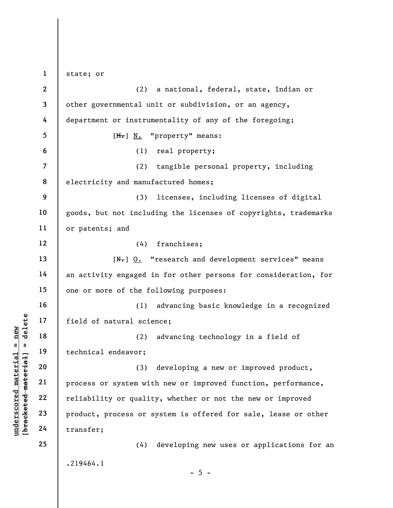underschied material science of natural science of natural science of the material endeavor;<br>
and the material endeavor;<br>
and the material endeavor;<br>
and the material endeavor;<br>
and the material product, process or s<br>
and 1 2 3 4 5 6 7 8 9 10 11 12 13 14 15 16 17 18 19 20 21 22 23 24 25 state; or (2) a national, federal, state, Indian or other governmental unit or subdivision, or an agency, department or instrumentality of any of the foregoing; [M.] N. "property" means: (1) real property; (2) tangible personal property, including electricity and manufactured homes; (3) licenses, including licenses of digital goods, but not including the licenses of copyrights, trademarks or patents; and (4) franchises;  $[N_r]$   $0.$  "research and development services" means an activity engaged in for other persons for consideration, for one or more of the following purposes: (1) advancing basic knowledge in a recognized field of natural science; (2) advancing technology in a field of technical endeavor; (3) developing a new or improved product, process or system with new or improved function, performance, reliability or quality, whether or not the new or improved product, process or system is offered for sale, lease or other transfer; (4) developing new uses or applications for an .219464.1  $- 5 -$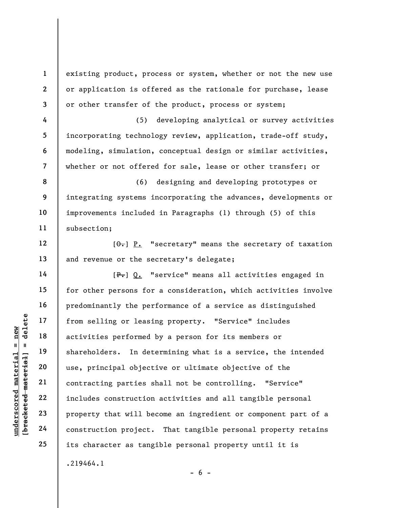1 2 3 4 5 6 7 8 9 10 11 12 existing product, process or system, whether or not the new use or application is offered as the rationale for purchase, lease or other transfer of the product, process or system; (5) developing analytical or survey activities incorporating technology review, application, trade-off study, modeling, simulation, conceptual design or similar activities, whether or not offered for sale, lease or other transfer; or (6) designing and developing prototypes or integrating systems incorporating the advances, developments or improvements included in Paragraphs (1) through (5) of this subsection;

 $[\theta_{\overline{\tau}}]$  P. "secretary" means the secretary of taxation and revenue or the secretary's delegate;

underscored material of the settling or least<br>
activities performed<br>
shareholders. In det<br>
use, principal object<br>
use, principal object<br>
contracting parties s<br>
22<br>
23<br>
property that will be<br>
24<br>
construction project. [P.] Q. "service" means all activities engaged in for other persons for a consideration, which activities involve predominantly the performance of a service as distinguished from selling or leasing property. "Service" includes activities performed by a person for its members or shareholders. In determining what is a service, the intended use, principal objective or ultimate objective of the contracting parties shall not be controlling. "Service" includes construction activities and all tangible personal property that will become an ingredient or component part of a construction project. That tangible personal property retains its character as tangible personal property until it is .219464.1

13

14

15

16

17

18

19

20

21

22

23

24

25

 $- 6 -$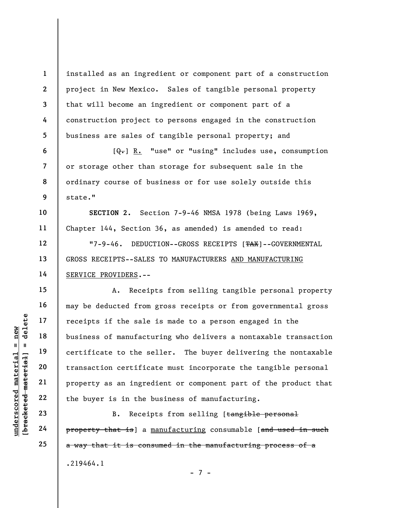1 2 3 4 5 installed as an ingredient or component part of a construction project in New Mexico. Sales of tangible personal property that will become an ingredient or component part of a construction project to persons engaged in the construction business are sales of tangible personal property; and

 $[Q_{\tau}]$  R. "use" or "using" includes use, consumption or storage other than storage for subsequent sale in the ordinary course of business or for use solely outside this state."

SECTION 2. Section 7-9-46 NMSA 1978 (being Laws 1969, Chapter 144, Section 36, as amended) is amended to read:

"7-9-46. DEDUCTION--GROSS RECEIPTS [TAX]--GOVERNMENTAL GROSS RECEIPTS--SALES TO MANUFACTURERS AND MANUFACTURING SERVICE PROVIDERS.--

under 17<br>
under 18<br>
under 19<br>
under 19<br>
under 19<br>
under 19<br>
20<br>
under 19<br>
21<br>
under 19<br>
22<br>
the buyer is in the b<br>
23<br>
24<br>
Property that is a mingred<br>
24<br>
Property that is a mingle A. Receipts from selling tangible personal property may be deducted from gross receipts or from governmental gross receipts if the sale is made to a person engaged in the business of manufacturing who delivers a nontaxable transaction certificate to the seller. The buyer delivering the nontaxable transaction certificate must incorporate the tangible personal property as an ingredient or component part of the product that the buyer is in the business of manufacturing.

B. Receipts from selling [tangible personal property that is] a manufacturing consumable [and used in such a way that it is consumed in the manufacturing process of a .219464.1

- 7 -

6

7

8

9

10

11

12

13

14

15

16

17

18

19

20

21

22

23

24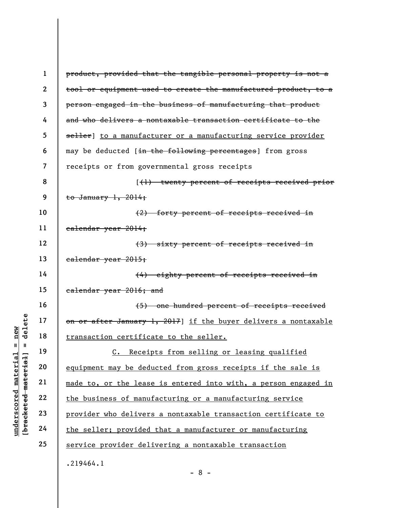|                                                         | $\mathbf 1$  | product, provided that the tangible personal property is not a  |
|---------------------------------------------------------|--------------|-----------------------------------------------------------------|
|                                                         | $\mathbf{2}$ | tool or equipment used to create the manufactured product, to a |
|                                                         | 3            | person engaged in the business of manufacturing that product    |
|                                                         | 4            | and who delivers a nontaxable transaction certificate to the    |
|                                                         | 5            | seller] to a manufacturer or a manufacturing service provider   |
|                                                         | 6            | may be deducted [in the following percentages] from gross       |
|                                                         | 7            | receipts or from governmental gross receipts                    |
|                                                         | 8            | [(1) twenty percent of receipts received prior                  |
|                                                         | 9            | to January $1, 2014;$                                           |
|                                                         | 10           | (2) forty percent of receipts received in                       |
|                                                         | 11           | ealendar year 2014;                                             |
|                                                         | 12           | (3) sixty percent of receipts received in                       |
|                                                         | 13           | ealendar year 2015;                                             |
|                                                         | 14           | (4) eighty percent of receipts received in                      |
|                                                         | 15           | ealendar year 2016; and                                         |
|                                                         | 16           | (5) one hundred percent of receipts received                    |
| delete                                                  | 17           | on or after January 1, 2017] if the buyer delivers a nontaxable |
| new                                                     | 18           | transaction certificate to the seller.                          |
| Ш<br>- II                                               | 19           | C. Receipts from selling or leasing qualified                   |
| underscored material<br>[ <del>bracketed material</del> | 20           | equipment may be deducted from gross receipts if the sale is    |
|                                                         | 21           | made to, or the lease is entered into with, a person engaged in |
|                                                         | 22           | the business of manufacturing or a manufacturing service        |
|                                                         | 23           | provider who delivers a nontaxable transaction certificate to   |
|                                                         | 24           | the seller; provided that a manufacturer or manufacturing       |
|                                                         | 25           | service provider delivering a nontaxable transaction            |
|                                                         |              | .219464.1                                                       |

- 8 -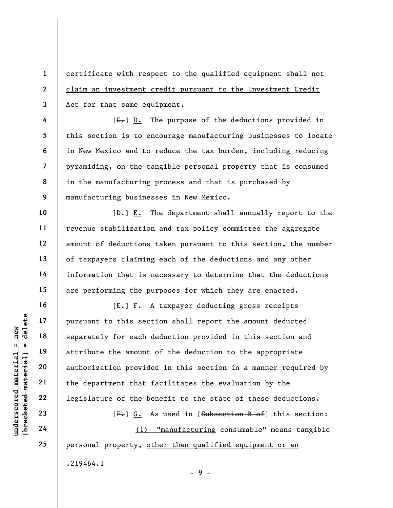certificate with respect to the qualified equipment shall not claim an investment credit pursuant to the Investment Credit Act for that same equipment.

 $[G<sub>r</sub>]$  D. The purpose of the deductions provided in this section is to encourage manufacturing businesses to locate in New Mexico and to reduce the tax burden, including reducing pyramiding, on the tangible personal property that is consumed in the manufacturing process and that is purchased by manufacturing businesses in New Mexico.

 $[\frac{D-1}{2}]$  E. The department shall annually report to the revenue stabilization and tax policy committee the aggregate amount of deductions taken pursuant to this section, the number of taxpayers claiming each of the deductions and any other information that is necessary to determine that the deductions are performing the purposes for which they are enacted.

under 17<br>
and 18<br>
19<br>
19<br>
19<br>
attribute the amount<br>
authorization provide<br>
21<br>
22<br>
1egislature of the be<br>
23<br>
24<br>
24<br>
24<br>
20<br>
24<br>
24<br>
24<br>
20<br>
24<br>
24<br>
24<br>
20<br>
24<br>
24  $[E-] F.$  A taxpayer deducting gross receipts pursuant to this section shall report the amount deducted separately for each deduction provided in this section and attribute the amount of the deduction to the appropriate authorization provided in this section in a manner required by the department that facilitates the evaluation by the legislature of the benefit to the state of these deductions.

 $[F<sub>1</sub>]$  G. As used in [Subsection B of] this section:

(1) "manufacturing consumable" means tangible personal property, other than qualified equipment or an .219464.1

 $-9 -$ 

1

2

3

4

5

6

7

8

9

10

11

12

13

14

15

16

17

18

19

20

21

22

23

24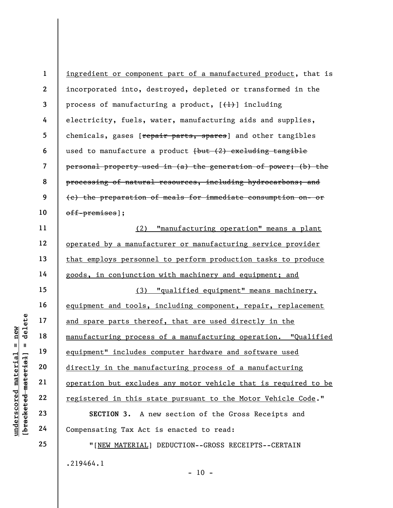under 17<br>
and spare parts there<br>
manufacturing process<br>
equipment" includes correctly in the manufacturing process<br>
equipment" includes correctly in the manufacturing process<br>
directly in the manufacturing process<br>
directl 1 2 3 4 5 6 7 8 9 10 11 12 13 14 15 16 17 18 19 20 21 22 23 ingredient or component part of a manufactured product, that is incorporated into, destroyed, depleted or transformed in the process of manufacturing a product,  $[\frac{1}{1}]$  including electricity, fuels, water, manufacturing aids and supplies, chemicals, gases [repair parts, spares] and other tangibles used to manufacture a product  $\{\text{but } (2)$  excluding tangible personal property used in (a) the generation of power; (b) the processing of natural resources, including hydrocarbons; and (c) the preparation of meals for immediate consumption on- or off-premises]; (2) "manufacturing operation" means a plant operated by a manufacturer or manufacturing service provider that employs personnel to perform production tasks to produce goods, in conjunction with machinery and equipment; and (3) "qualified equipment" means machinery, equipment and tools, including component, repair, replacement and spare parts thereof, that are used directly in the manufacturing process of a manufacturing operation. "Qualified equipment" includes computer hardware and software used directly in the manufacturing process of a manufacturing operation but excludes any motor vehicle that is required to be registered in this state pursuant to the Motor Vehicle Code."

SECTION 3. A new section of the Gross Receipts and Compensating Tax Act is enacted to read:

"[NEW MATERIAL] DEDUCTION--GROSS RECEIPTS--CERTAIN .219464.1  $- 10 -$ 

24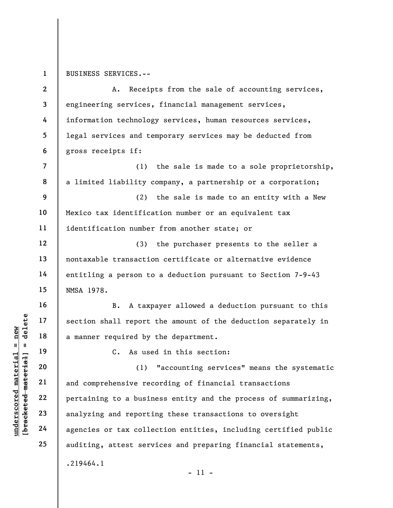1 BUSINESS SERVICES.--

understand material material experience of the same of the same of the same of the same of the same of the same of the same of the same of the same of the same of the same of the same of the same of the same of the same of 2 3 4 5 6 7 8 9 10 11 12 13 14 15 16 17 18 19 20 21 22 23 24 25 A. Receipts from the sale of accounting services, engineering services, financial management services, information technology services, human resources services, legal services and temporary services may be deducted from gross receipts if: (1) the sale is made to a sole proprietorship, a limited liability company, a partnership or a corporation; (2) the sale is made to an entity with a New Mexico tax identification number or an equivalent tax identification number from another state; or (3) the purchaser presents to the seller a nontaxable transaction certificate or alternative evidence entitling a person to a deduction pursuant to Section 7-9-43 NMSA 1978. B. A taxpayer allowed a deduction pursuant to this section shall report the amount of the deduction separately in a manner required by the department. C. As used in this section: (1) "accounting services" means the systematic and comprehensive recording of financial transactions pertaining to a business entity and the process of summarizing, analyzing and reporting these transactions to oversight agencies or tax collection entities, including certified public auditing, attest services and preparing financial statements, .219464.1 - 11 -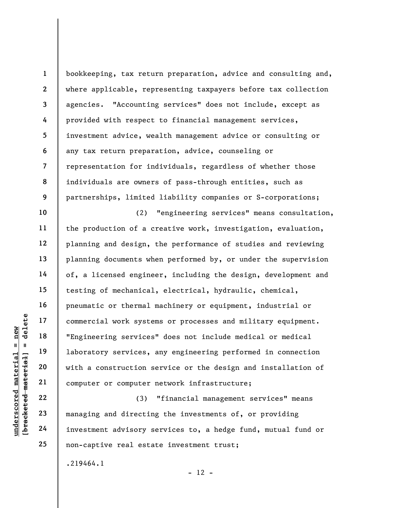1 2 3 4 5 6 7 8 9 bookkeeping, tax return preparation, advice and consulting and, where applicable, representing taxpayers before tax collection agencies. "Accounting services" does not include, except as provided with respect to financial management services, investment advice, wealth management advice or consulting or any tax return preparation, advice, counseling or representation for individuals, regardless of whether those individuals are owners of pass-through entities, such as partnerships, limited liability companies or S-corporations;

underscored material = new [bracketed material] = delete (2) "engineering services" means consultation, the production of a creative work, investigation, evaluation, planning and design, the performance of studies and reviewing planning documents when performed by, or under the supervision of, a licensed engineer, including the design, development and testing of mechanical, electrical, hydraulic, chemical, pneumatic or thermal machinery or equipment, industrial or commercial work systems or processes and military equipment. "Engineering services" does not include medical or medical laboratory services, any engineering performed in connection with a construction service or the design and installation of computer or computer network infrastructure;

(3) "financial management services" means managing and directing the investments of, or providing investment advisory services to, a hedge fund, mutual fund or non-captive real estate investment trust;

 $- 12 -$ 

.219464.1

10

11

12

13

14

15

16

17

18

19

20

21

22

23

24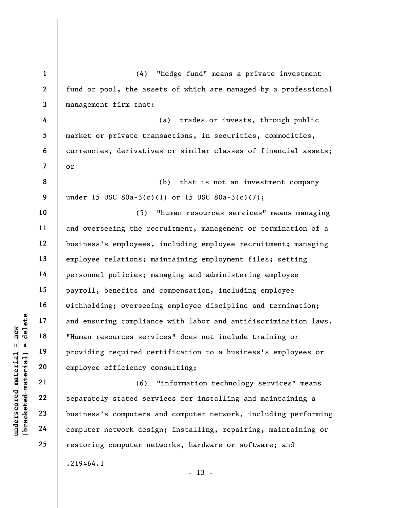understand material material material material material material material material material material computer served material computer network desined the computer network desined computer network desined and the computer 1 2 3 4 5 6 7 8 9 10 11 12 13 14 15 16 17 18 19 20 21 22 23 24 25 (4) "hedge fund" means a private investment fund or pool, the assets of which are managed by a professional management firm that: (a) trades or invests, through public market or private transactions, in securities, commodities, currencies, derivatives or similar classes of financial assets; or (b) that is not an investment company under 15 USC 80a-3(c)(1) or 15 USC 80a-3(c)(7); (5) "human resources services" means managing and overseeing the recruitment, management or termination of a business's employees, including employee recruitment; managing employee relations; maintaining employment files; setting personnel policies; managing and administering employee payroll, benefits and compensation, including employee withholding; overseeing employee discipline and termination; and ensuring compliance with labor and antidiscrimination laws. "Human resources services" does not include training or providing required certification to a business's employees or employee efficiency consulting; (6) "information technology services" means separately stated services for installing and maintaining a business's computers and computer network, including performing computer network design; installing, repairing, maintaining or restoring computer networks, hardware or software; and .219464.1

 $- 13 -$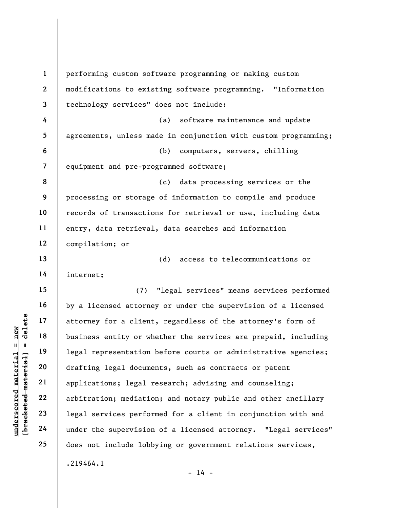underscored material = new [bracketed material] = delete 1 2 3 4 5 6 7 8 9 10 11 12 13 14 15 16 17 18 19 20 21 22 23 24 25 performing custom software programming or making custom modifications to existing software programming. "Information technology services" does not include: (a) software maintenance and update agreements, unless made in conjunction with custom programming; (b) computers, servers, chilling equipment and pre-programmed software; (c) data processing services or the processing or storage of information to compile and produce records of transactions for retrieval or use, including data entry, data retrieval, data searches and information compilation; or (d) access to telecommunications or internet; (7) "legal services" means services performed by a licensed attorney or under the supervision of a licensed attorney for a client, regardless of the attorney's form of business entity or whether the services are prepaid, including legal representation before courts or administrative agencies; drafting legal documents, such as contracts or patent applications; legal research; advising and counseling; arbitration; mediation; and notary public and other ancillary legal services performed for a client in conjunction with and under the supervision of a licensed attorney. "Legal services" does not include lobbying or government relations services, .219464.1

 $- 14 -$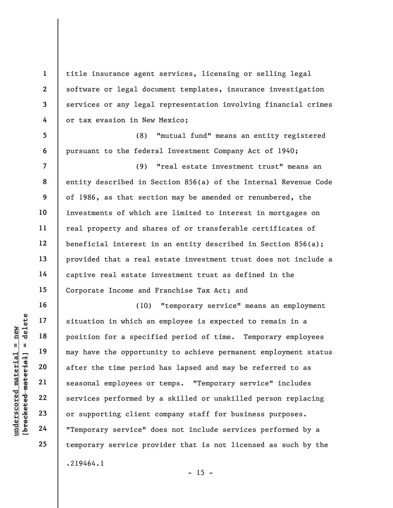title insurance agent services, licensing or selling legal software or legal document templates, insurance investigation services or any legal representation involving financial crimes or tax evasion in New Mexico;

5 6 (8) "mutual fund" means an entity registered pursuant to the federal Investment Company Act of 1940;

7 8 9 10 11 12 13 14 15 (9) "real estate investment trust" means an entity described in Section 856(a) of the Internal Revenue Code of 1986, as that section may be amended or renumbered, the investments of which are limited to interest in mortgages on real property and shares of or transferable certificates of beneficial interest in an entity described in Section 856(a); provided that a real estate investment trust does not include a captive real estate investment trust as defined in the Corporate Income and Franchise Tax Act; and

underscored material = new [bracketed material] = delete (10) "temporary service" means an employment situation in which an employee is expected to remain in a position for a specified period of time. Temporary employees may have the opportunity to achieve permanent employment status after the time period has lapsed and may be referred to as seasonal employees or temps. "Temporary service" includes services performed by a skilled or unskilled person replacing or supporting client company staff for business purposes. "Temporary service" does not include services performed by a temporary service provider that is not licensed as such by the .219464.1  $- 15 -$ 

16

17

18

19

20

21

22

23

24

25

1

2

3